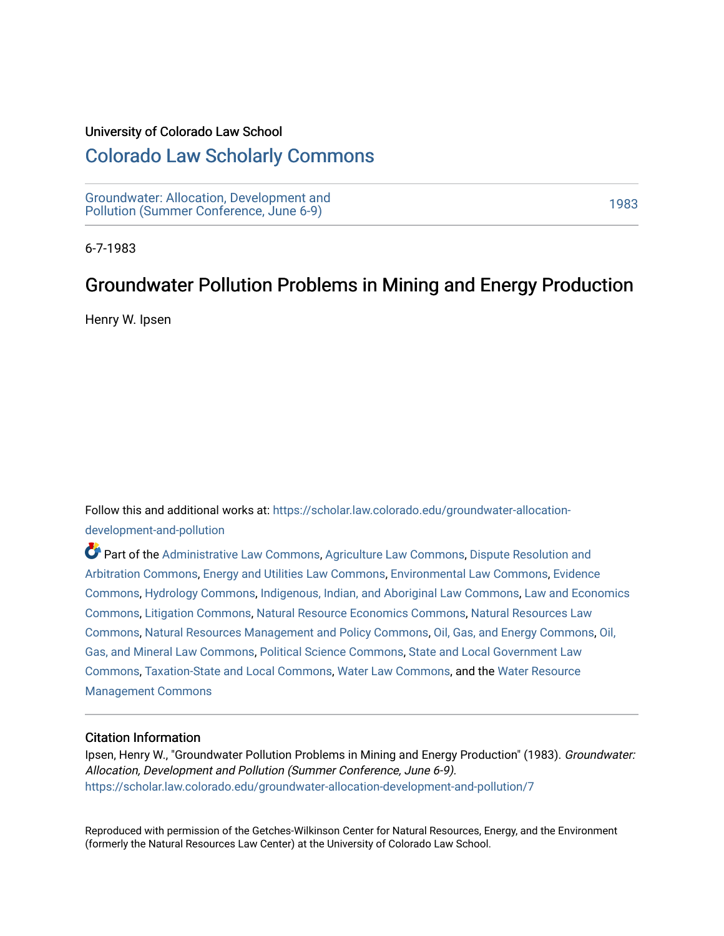### University of Colorado Law School

## [Colorado Law Scholarly Commons](https://scholar.law.colorado.edu/)

[Groundwater: Allocation, Development and](https://scholar.law.colorado.edu/groundwater-allocation-development-and-pollution)  Gioundwater. Allocation, Development and<br>Pollution (Summer Conference, June 6-9)

6-7-1983

# Groundwater Pollution Problems in Mining and Energy Production

Henry W. Ipsen

Follow this and additional works at: [https://scholar.law.colorado.edu/groundwater-allocation](https://scholar.law.colorado.edu/groundwater-allocation-development-and-pollution?utm_source=scholar.law.colorado.edu%2Fgroundwater-allocation-development-and-pollution%2F7&utm_medium=PDF&utm_campaign=PDFCoverPages)[development-and-pollution](https://scholar.law.colorado.edu/groundwater-allocation-development-and-pollution?utm_source=scholar.law.colorado.edu%2Fgroundwater-allocation-development-and-pollution%2F7&utm_medium=PDF&utm_campaign=PDFCoverPages)

Part of the [Administrative Law Commons,](http://network.bepress.com/hgg/discipline/579?utm_source=scholar.law.colorado.edu%2Fgroundwater-allocation-development-and-pollution%2F7&utm_medium=PDF&utm_campaign=PDFCoverPages) [Agriculture Law Commons](http://network.bepress.com/hgg/discipline/581?utm_source=scholar.law.colorado.edu%2Fgroundwater-allocation-development-and-pollution%2F7&utm_medium=PDF&utm_campaign=PDFCoverPages), [Dispute Resolution and](http://network.bepress.com/hgg/discipline/890?utm_source=scholar.law.colorado.edu%2Fgroundwater-allocation-development-and-pollution%2F7&utm_medium=PDF&utm_campaign=PDFCoverPages) [Arbitration Commons](http://network.bepress.com/hgg/discipline/890?utm_source=scholar.law.colorado.edu%2Fgroundwater-allocation-development-and-pollution%2F7&utm_medium=PDF&utm_campaign=PDFCoverPages), [Energy and Utilities Law Commons](http://network.bepress.com/hgg/discipline/891?utm_source=scholar.law.colorado.edu%2Fgroundwater-allocation-development-and-pollution%2F7&utm_medium=PDF&utm_campaign=PDFCoverPages), [Environmental Law Commons,](http://network.bepress.com/hgg/discipline/599?utm_source=scholar.law.colorado.edu%2Fgroundwater-allocation-development-and-pollution%2F7&utm_medium=PDF&utm_campaign=PDFCoverPages) [Evidence](http://network.bepress.com/hgg/discipline/601?utm_source=scholar.law.colorado.edu%2Fgroundwater-allocation-development-and-pollution%2F7&utm_medium=PDF&utm_campaign=PDFCoverPages)  [Commons](http://network.bepress.com/hgg/discipline/601?utm_source=scholar.law.colorado.edu%2Fgroundwater-allocation-development-and-pollution%2F7&utm_medium=PDF&utm_campaign=PDFCoverPages), [Hydrology Commons](http://network.bepress.com/hgg/discipline/1054?utm_source=scholar.law.colorado.edu%2Fgroundwater-allocation-development-and-pollution%2F7&utm_medium=PDF&utm_campaign=PDFCoverPages), [Indigenous, Indian, and Aboriginal Law Commons](http://network.bepress.com/hgg/discipline/894?utm_source=scholar.law.colorado.edu%2Fgroundwater-allocation-development-and-pollution%2F7&utm_medium=PDF&utm_campaign=PDFCoverPages), [Law and Economics](http://network.bepress.com/hgg/discipline/612?utm_source=scholar.law.colorado.edu%2Fgroundwater-allocation-development-and-pollution%2F7&utm_medium=PDF&utm_campaign=PDFCoverPages)  [Commons](http://network.bepress.com/hgg/discipline/612?utm_source=scholar.law.colorado.edu%2Fgroundwater-allocation-development-and-pollution%2F7&utm_medium=PDF&utm_campaign=PDFCoverPages), [Litigation Commons,](http://network.bepress.com/hgg/discipline/910?utm_source=scholar.law.colorado.edu%2Fgroundwater-allocation-development-and-pollution%2F7&utm_medium=PDF&utm_campaign=PDFCoverPages) [Natural Resource Economics Commons,](http://network.bepress.com/hgg/discipline/169?utm_source=scholar.law.colorado.edu%2Fgroundwater-allocation-development-and-pollution%2F7&utm_medium=PDF&utm_campaign=PDFCoverPages) [Natural Resources Law](http://network.bepress.com/hgg/discipline/863?utm_source=scholar.law.colorado.edu%2Fgroundwater-allocation-development-and-pollution%2F7&utm_medium=PDF&utm_campaign=PDFCoverPages)  [Commons](http://network.bepress.com/hgg/discipline/863?utm_source=scholar.law.colorado.edu%2Fgroundwater-allocation-development-and-pollution%2F7&utm_medium=PDF&utm_campaign=PDFCoverPages), [Natural Resources Management and Policy Commons,](http://network.bepress.com/hgg/discipline/170?utm_source=scholar.law.colorado.edu%2Fgroundwater-allocation-development-and-pollution%2F7&utm_medium=PDF&utm_campaign=PDFCoverPages) [Oil, Gas, and Energy Commons,](http://network.bepress.com/hgg/discipline/171?utm_source=scholar.law.colorado.edu%2Fgroundwater-allocation-development-and-pollution%2F7&utm_medium=PDF&utm_campaign=PDFCoverPages) [Oil,](http://network.bepress.com/hgg/discipline/864?utm_source=scholar.law.colorado.edu%2Fgroundwater-allocation-development-and-pollution%2F7&utm_medium=PDF&utm_campaign=PDFCoverPages)  [Gas, and Mineral Law Commons](http://network.bepress.com/hgg/discipline/864?utm_source=scholar.law.colorado.edu%2Fgroundwater-allocation-development-and-pollution%2F7&utm_medium=PDF&utm_campaign=PDFCoverPages), [Political Science Commons](http://network.bepress.com/hgg/discipline/386?utm_source=scholar.law.colorado.edu%2Fgroundwater-allocation-development-and-pollution%2F7&utm_medium=PDF&utm_campaign=PDFCoverPages), [State and Local Government Law](http://network.bepress.com/hgg/discipline/879?utm_source=scholar.law.colorado.edu%2Fgroundwater-allocation-development-and-pollution%2F7&utm_medium=PDF&utm_campaign=PDFCoverPages) [Commons](http://network.bepress.com/hgg/discipline/879?utm_source=scholar.law.colorado.edu%2Fgroundwater-allocation-development-and-pollution%2F7&utm_medium=PDF&utm_campaign=PDFCoverPages), [Taxation-State and Local Commons](http://network.bepress.com/hgg/discipline/882?utm_source=scholar.law.colorado.edu%2Fgroundwater-allocation-development-and-pollution%2F7&utm_medium=PDF&utm_campaign=PDFCoverPages), [Water Law Commons,](http://network.bepress.com/hgg/discipline/887?utm_source=scholar.law.colorado.edu%2Fgroundwater-allocation-development-and-pollution%2F7&utm_medium=PDF&utm_campaign=PDFCoverPages) and the [Water Resource](http://network.bepress.com/hgg/discipline/1057?utm_source=scholar.law.colorado.edu%2Fgroundwater-allocation-development-and-pollution%2F7&utm_medium=PDF&utm_campaign=PDFCoverPages) [Management Commons](http://network.bepress.com/hgg/discipline/1057?utm_source=scholar.law.colorado.edu%2Fgroundwater-allocation-development-and-pollution%2F7&utm_medium=PDF&utm_campaign=PDFCoverPages)

### Citation Information

Ipsen, Henry W., "Groundwater Pollution Problems in Mining and Energy Production" (1983). Groundwater: Allocation, Development and Pollution (Summer Conference, June 6-9). [https://scholar.law.colorado.edu/groundwater-allocation-development-and-pollution/7](https://scholar.law.colorado.edu/groundwater-allocation-development-and-pollution/7?utm_source=scholar.law.colorado.edu%2Fgroundwater-allocation-development-and-pollution%2F7&utm_medium=PDF&utm_campaign=PDFCoverPages)

Reproduced with permission of the Getches-Wilkinson Center for Natural Resources, Energy, and the Environment (formerly the Natural Resources Law Center) at the University of Colorado Law School.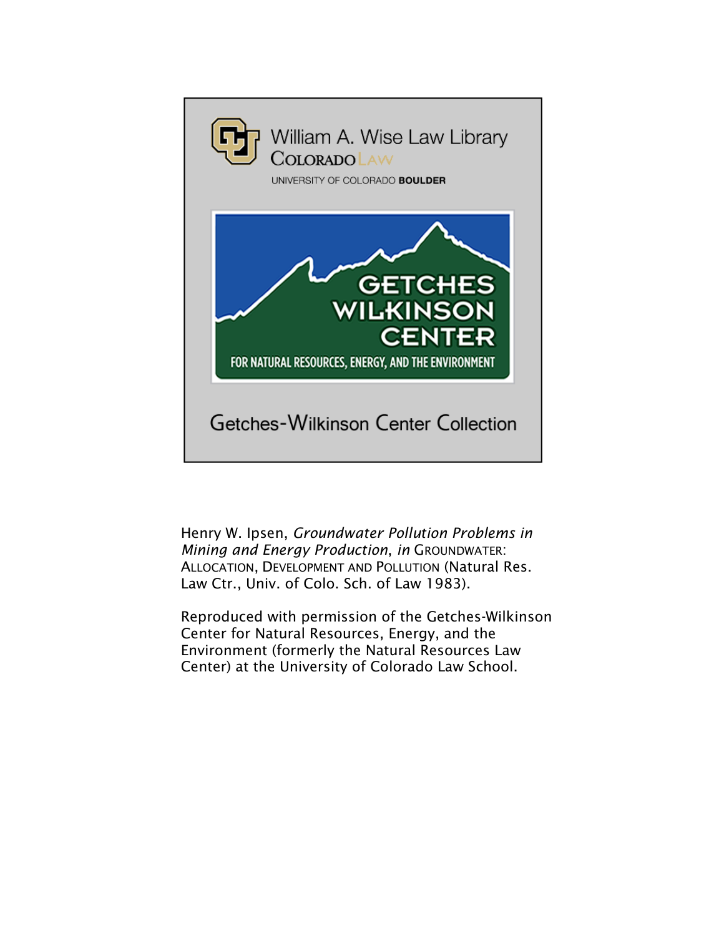

Henry W. Ipsen, *Groundwater Pollution Problems in Mining and Energy Production*, *in* GROUNDWATER: ALLOCATION, DEVELOPMENT AND POLLUTION (Natural Res. Law Ctr., Univ. of Colo. Sch. of Law 1983).

Reproduced with permission of the Getches-Wilkinson Center for Natural Resources, Energy, and the Environment (formerly the Natural Resources Law Center) at the University of Colorado Law School.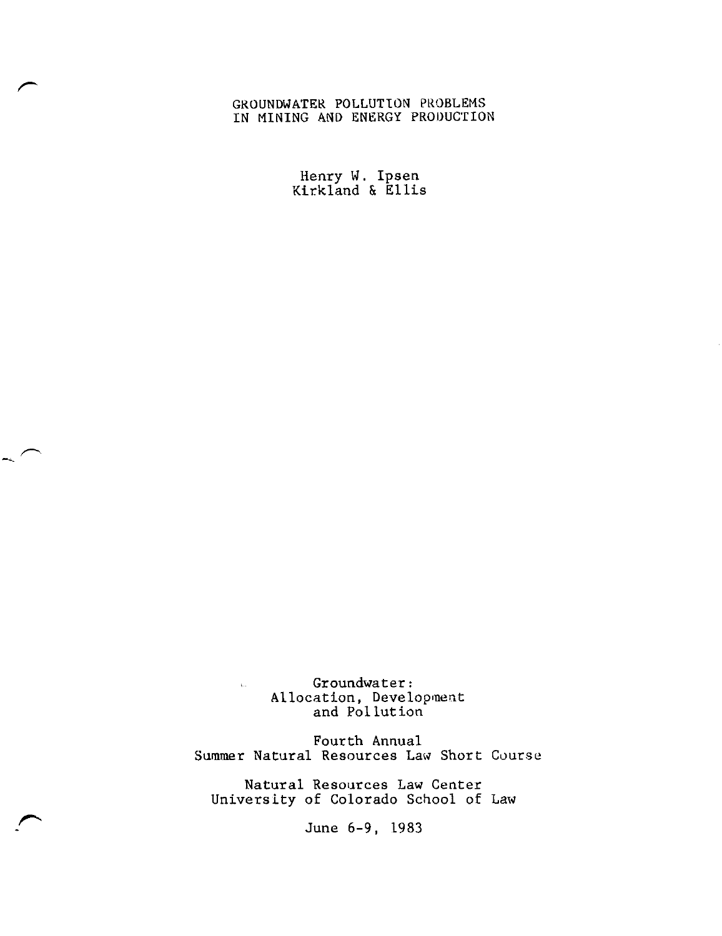### GROUNDWATER POLLUTION PROBLEMS IN MINING AND ENERGY PRODUCTION

Henry W. Ipsen Kirkland & Ellis

Groundwater: Allocation, Development and Pollution

 $\chi_{\rm{max}}$  .

 $\sim$   $'$ 

Fourth Annual Summer Natural Resources Law Short Course

Natural Resources Law Center University of Colorado School of Law

June 6-9, 1983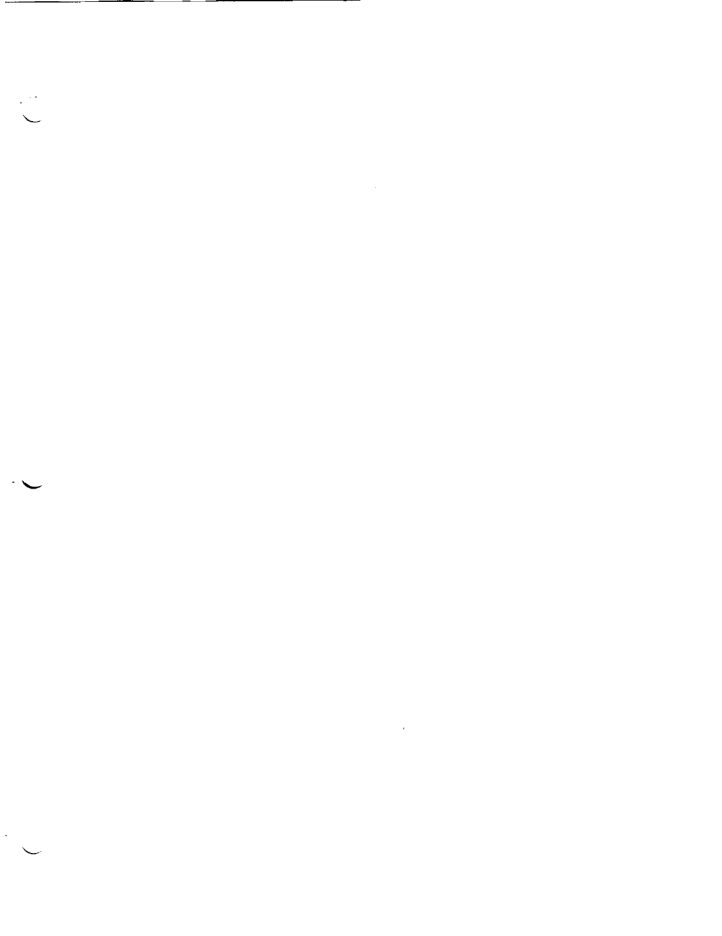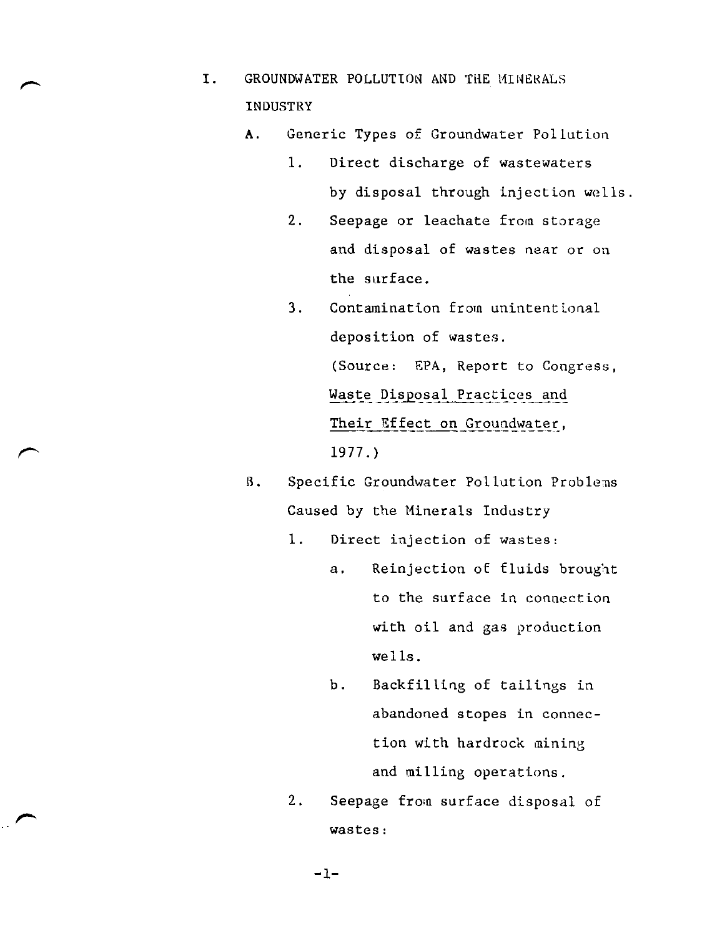- I. GROUNDWATER POLLUTION AND THE MINERALS INDUSTRY
	- A. Generic Types of Groundwater Pollution
		- 1. Direct discharge of wastewaters by disposal through injection wells.
		- 2. Seepage or leachate from storage and disposal of wastes near or on the surface.
		- 3. Contamination from unintentional deposition of wastes. (Source: EPA, Report to Congress, Waste Disposal Practices and Their Effect on Groundwater, 1977.)
	- B. Specific Groundwater Pollution Problems Caused by the Minerals Industry
		- 1. Direct injection of wastes:
			- a. Reinjection of fluids brought to the surface in connection with oil and gas production wells.
			- b. Backfilling of tailings in abandoned stopes in connection with hardrock mining and milling operations.
		- 2. Seepage from surface disposal of wastes:

-1-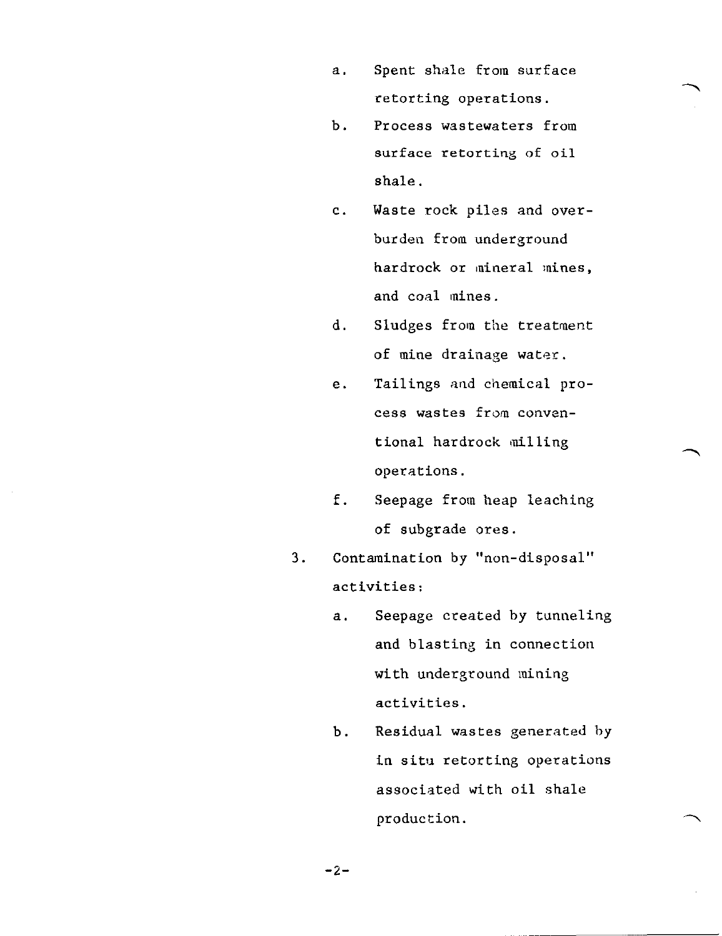- a. Spent shale from surface retorting operations.
- b. Process wastewaters from surface retorting of oil shale.
- c. Waste rock piles and overburden from underground hardrock or mineral mines, and coal mines.
- d. Sludges from the treatment of mine drainage water.
- e. Tailings and chemical process wastes from conventional hardrock milling operations.
- f. Seepage from heap leaching of subgrade ores.
- 3. Contamination by "non-disposal" activities:
	- a. Seepage created by tunneling and blasting in connection with underground mining activities.
	- b. Residual wastes generated by in situ retorting operations associated with oil shale production.

 $-2-$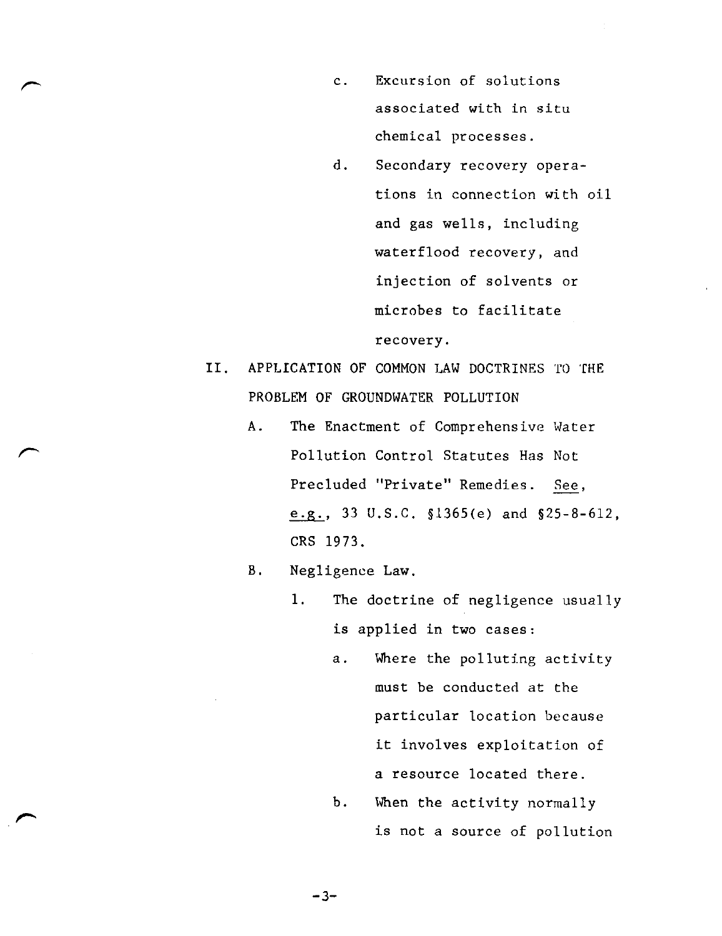- c. Excursion of solutions associated with in situ chemical processes.
- d. Secondary recovery operations in connection with oil and gas wells, including waterflood recovery, and injection of solvents or microbes to facilitate recovery.
- II. APPLICATION OF COMMON LAW DOCTRINES TO THE PROBLEM OF GROUNDWATER POLLUTION
	- A. The Enactment of Comprehensive Water Pollution Control Statutes Has Not Precluded "Private" Remedies. See, e.g., 33 U.S.C. §1365(e) and §25-8-612, CRS 1973.
	- B. Negligence Law.
		- 1. The doctrine of negligence usually is applied in two cases:
			- a. Where the polluting activity must be conducted at the particular location because it involves exploitation of a resource located there.
			- b. When the activity normally is not a source of pollution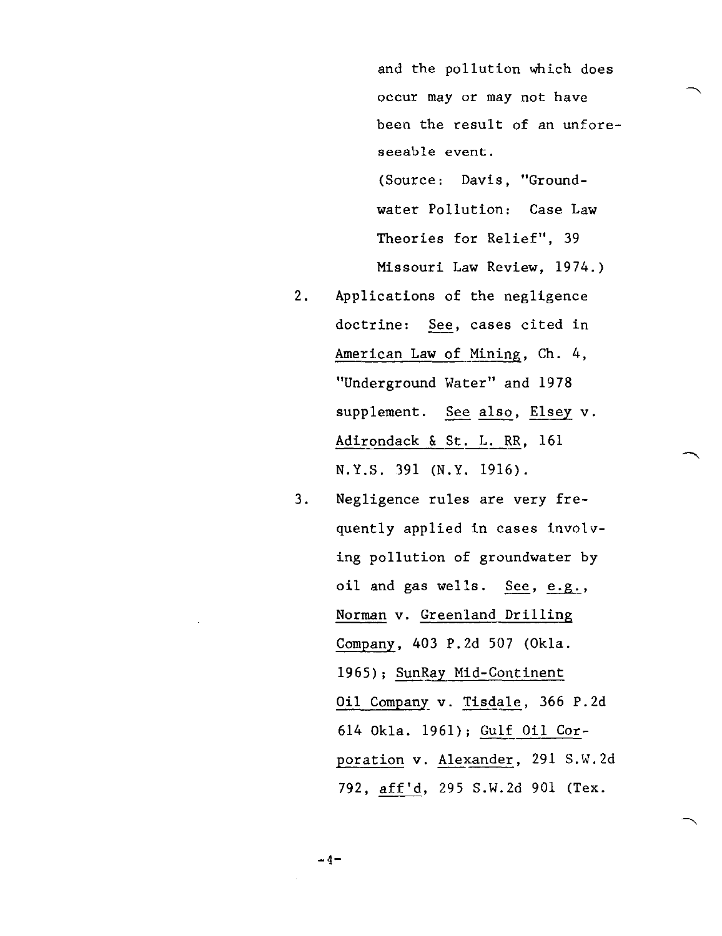and the pollution which does occur may or may not have been the result of an unforeseeable event. (Source: Davis, "Groundwater Pollution: Case Law Theories for Relief", 39 Missouri Law Review, 1974.)

- 2. Applications of the negligence doctrine: See, cases cited in American Law of Mining, Ch. 4, "Underground Water" and 1978 supplement. See also, Elsey v. Adirondack & St. L. RR, <sup>161</sup> N.Y.S. 391 (N.Y. 1916).
- 3. Negligence rules are very frequently applied in cases involving pollution of groundwater by oil and gas wells. See, e.g., Norman v. Greenland Drilling Company, 403 P.2d 507 (Okla. 1965); SunRay Mid-Continent Oil Company v. Tisdale, 366 P.2d 614 Okla. 1961); Gulf Oil Corporation v. Alexander, 291 S.W.2d 792, aff'd, 295 S.W.2d 901 (Tex.

 $-4-$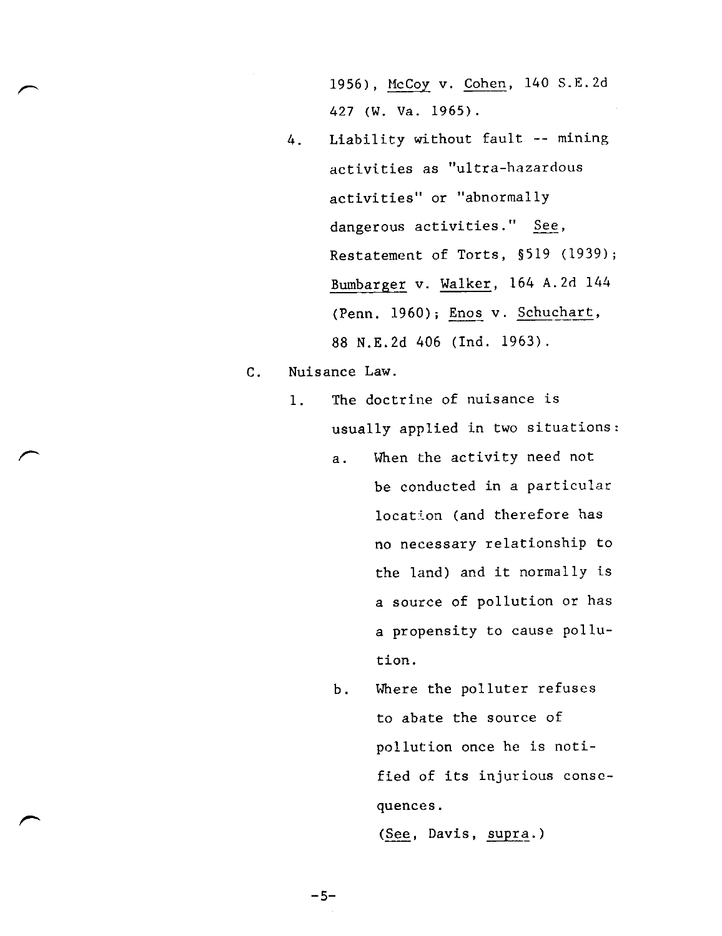1956), McCoy v. Cohen, 140 S.E.2d 427 (W. Va. 1965).

- 4. Liability without fault -- mining activities as "ultra-hazardous activities" or "abnormally dangerous activities." See, Restatement of Torts, §519 (1939); Bumbarger v. Walker, 164 A.2d 144 (Penn. 1960); Enos v. Schuchart, 88 N.E.2d 406 (Ind. 1963).
- C. Nuisance Law.
	- 1. The doctrine of nuisance is usually applied in two situations:
		- a. When the activity need not be conducted in a particular location (and therefore has no necessary relationship to the land) and it normally is a source of pollution or has a propensity to cause pollution.
		- b. Where the polluter refuses to abate the source of pollution once he is notified of its injurious consequences.

(See, Davis, supra.)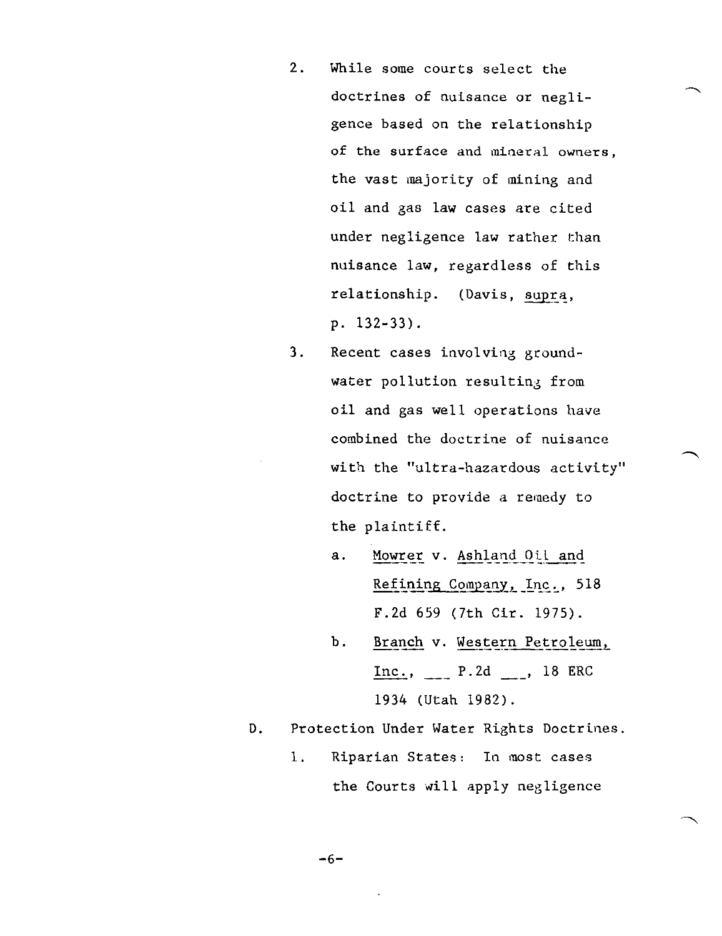- 2. While some courts select the doctrines of nuisance or negligence based on the relationship of the surface and mineral owners, the vast majority of mining and oil and gas law cases are cited under negligence law rather than nuisance law, regardless of this relationship. (Davis, supra, p. 132-33).
- 3. Recent cases involving groundwater pollution resulting from oil and gas well operations have combined the doctrine of nuisance with the "ultra-hazardous activity" doctrine to provide a remedy to the plaintiff.
	- a. Mowrer v. Ashland Oil and Refining Company, Inc., 518 F.2d 659 (7th Cir. 1975).
	- b. Branch v. Western Petroleum,  $Inc., \qquad P.2d \qquad .18 ERC$ 1934 (Utah 1982).
- D. Protection Under Water Rights Doctrines.
	- 1. Riparian States: In most cases the Courts will apply negligence

 $-6-$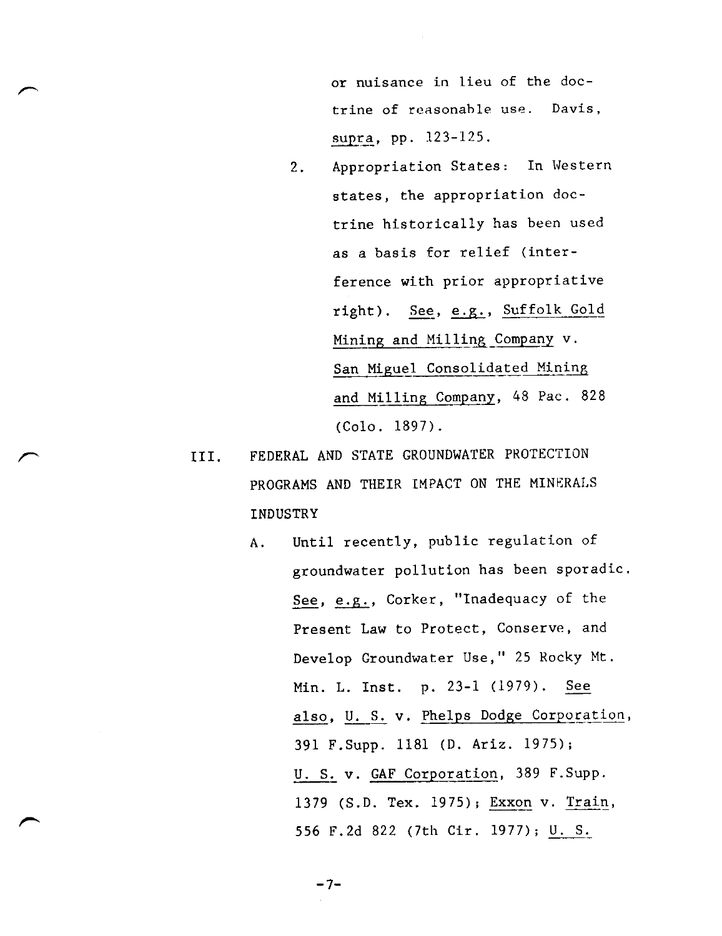or nuisance in lieu of the doctrine of reasonable use. Davis, supra, pp. 123-125.

- 2. Appropriation States: In Western states, the appropriation doctrine historically has been used as a basis for relief (interference with prior appropriative right). See, e.g., Suffolk Gold Mining and Milling Company v. San Miguel Consolidated Mining and Milling Company, 48 Pac. 828 (Colo. 1897).
- FEDERAL AND STATE GROUNDWATER PROTECTION III. PROGRAMS AND THEIR IMPACT ON THE MINERALS INDUSTRY
	- A. Until recently, public regulation of groundwater pollution has been sporadic. See, e.g., Corker, "Inadequacy of the Present Law to Protect, Conserve, and Develop Groundwater Use," 25 Rocky Mt. Min. L. Inst. p. 23-1 (1979). See also, U. S. v. Phelps Dodge Corporation, 391 F.Supp. 1181 (D. Ariz. 1975); U. S. v. GAF Corporation, 389 F.Supp. 1379 (S.D. Tex. 1975); Exxon v. Train, 556 F.2d 822 (7th Cir. 1977); U. S.

-7-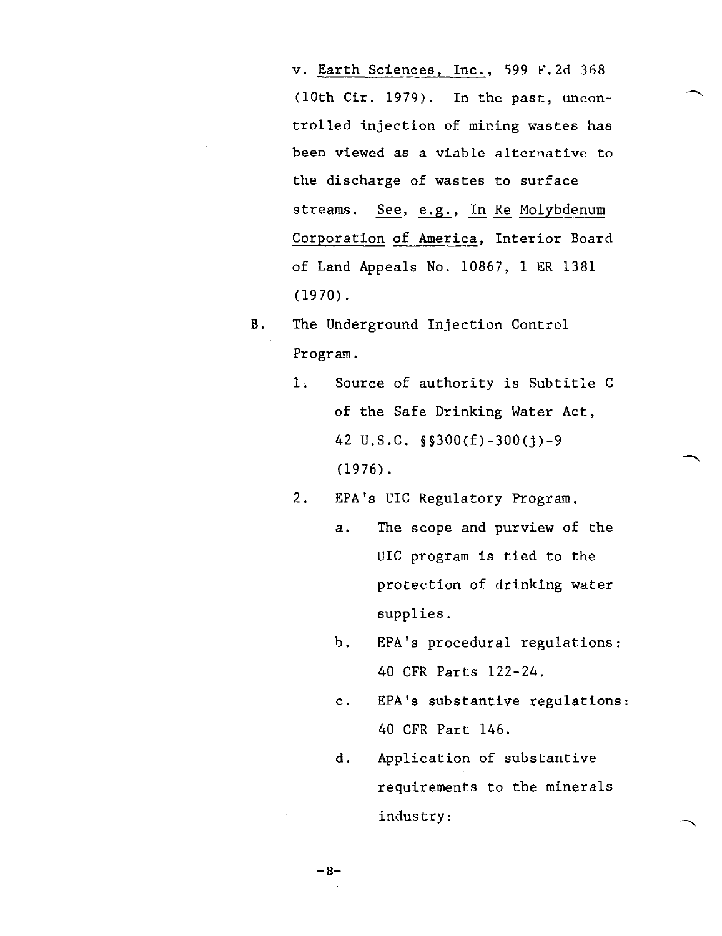v. Earth Sciences, Inc., 599 F.2d 368 (10th Cir. 1979). In the past, uncontrolled injection of mining wastes has been viewed as a viable alternative to the discharge of wastes to surface streams. See, e.g., In Re Molybdenum Corporation of America, Interior Board of Land Appeals No. 10867, 1 ER 1381 (1970).

- B. The Underground Injection Control Program.
	- 1. Source of authority is Subtitle C of the Safe Drinking Water Act, 42 U.S.C.  $\S$  $\S$ 300(f)-300(j)-9 (1976).

2. EPA's UIC Regulatory Program.

- a. The scope and purview of the UIC program is tied to the protection of drinking water supplies.
	- b. EPA's procedural regulations: 40 CFR Parts 122-24.
- c. EPA's substantive regulations: 40 CFR Part 146.
- d. Application of substantive requirements to the minerals industry:

 $-8-$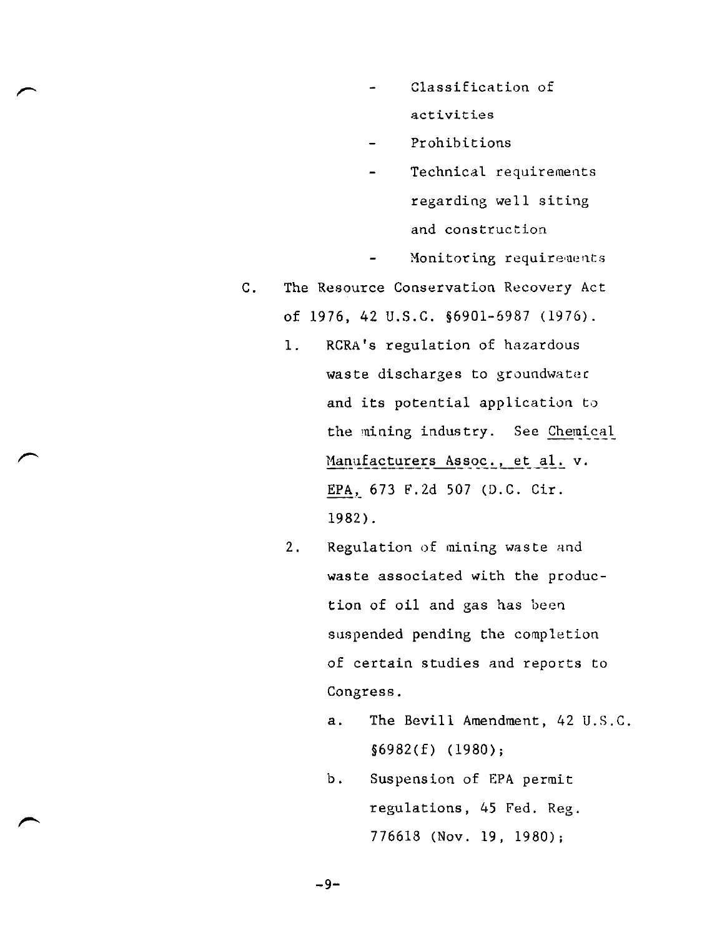- Classification of activities
- Prohibitions
- Technical requirements regarding well siting and construction
- Monitoring requirements
- C. The Resource Conservation Recovery Act of 1976, 42 U.S.C. §6901-6987 (1976).
	- 1. RCRA's regulation of hazardous waste discharges to groundwater and its potential application to the mining industry. See Chemical Manufacturers Assoc., et al. v. EPA,\_ 673 F.2d 507 (D.C. Cir. 1982).
	- 2. Regulation of mining waste and waste associated with the production of oil and gas has been suspended pending the completion of certain studies and reports to Congress.
		- a. The Bevill Amendment, 42 U.S.C. §6982(f) (1980);
		- b. Suspension of EPA permit regulations, 45 Fed. Reg. 776618 (Nov. 19, 1980);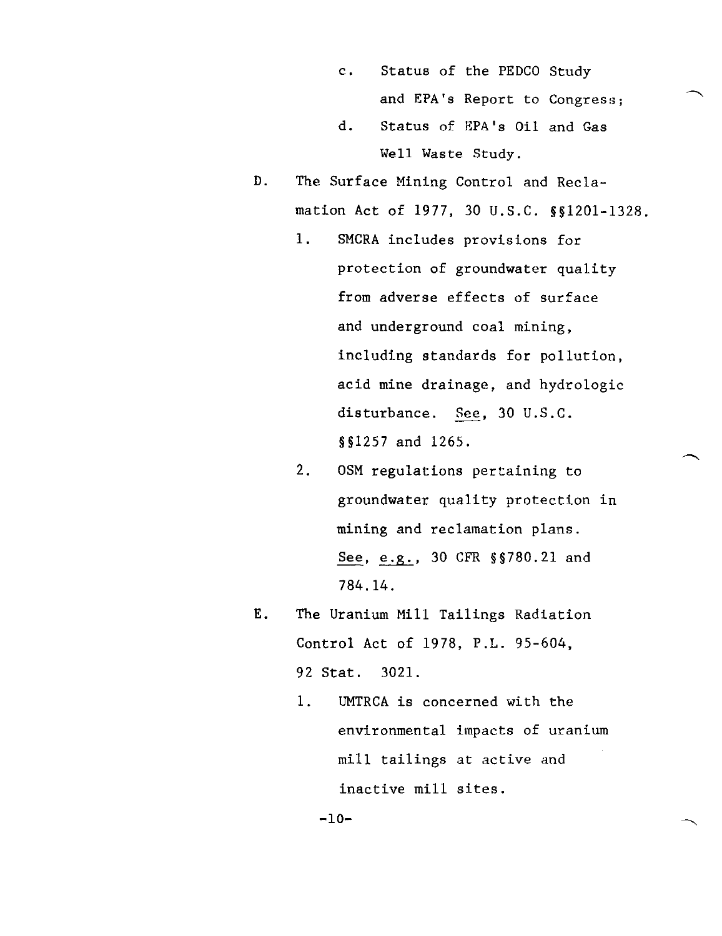- c. Status of the PEDCO Study and EPA's Report to Congress;
- d. Status of EPA's Oil and Gas Well Waste Study.
- D. The Surface Mining Control and Reclamation Act of 1977, 30 U.S.C. §§1201-1328.
	- 1. SMCRA includes provisions for protection of groundwater quality from adverse effects of surface and underground coal mining, including standards for pollution, acid mine drainage, and hydrologic disturbance. See, 30 U.S.C. §§1257 and 1265.
	- 2. OSM regulations pertaining to groundwater quality protection in mining and reclamation plans. See, e.g., 30 CFR §§780.21 and 784.14.
- E. The Uranium Mill Tailings Radiation Control Act of 1978, P.L. 95-604, 92 Stat. 3021.
	- 1. UMTRCA is concerned with the environmental impacts of uranium mill tailings at active and inactive mill sites.

-10-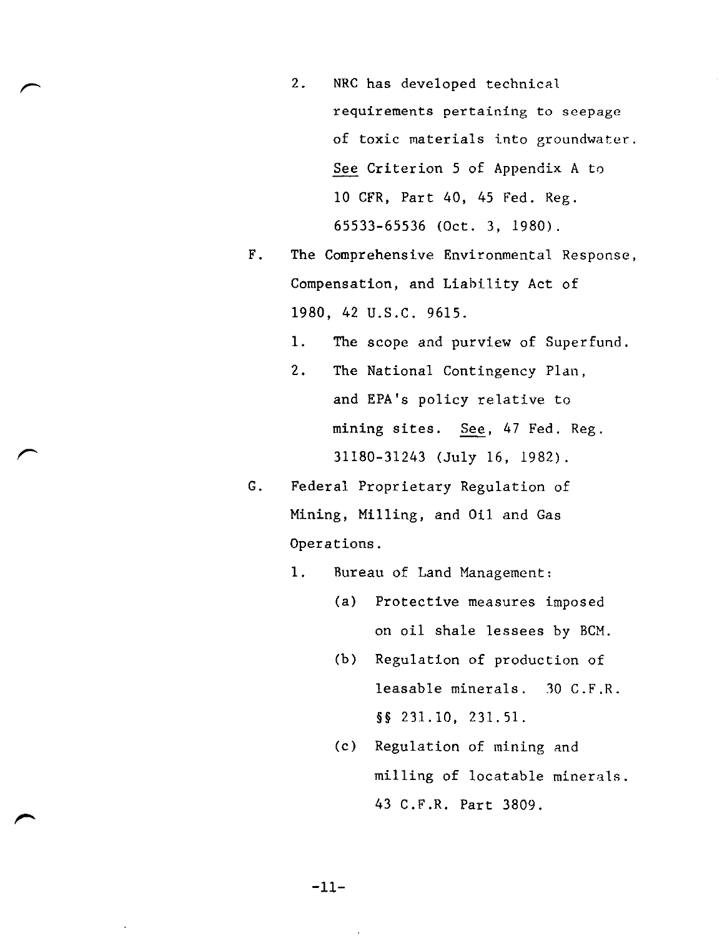- 2. NRC has developed technical requirements pertaining to seepage of toxic materials into groundwater. See Criterion 5 of Appendix A to 10 CFR, Part 40, 45 Fed. Reg. 65533-65536 (Oct. 3, 1980).
- F. The Comprehensive Environmental Response, Compensation, and Liability Act of 1980, 42 U.S.C. 9615.
	- 1. The scope and purview of Superfund.
	- 2. The National Contingency Plan, and EPA's policy relative to mining sites. See, 47 Fed. Reg. 31180-31243 (July 16, 1982).
- G. Federal Proprietary Regulation of Mining, Milling, and Oil and Gas Operations.
	- 1. Bureau of Land Management:
		- (a) Protective measures imposed on oil shale lessees by BCM.
		- (b) Regulation of production of leasable minerals. 30 C.F.R. §§ 231.10, 231.51.
		- (c) Regulation of mining and milling of locatable minerals. 43 C.F.R. Part 3809.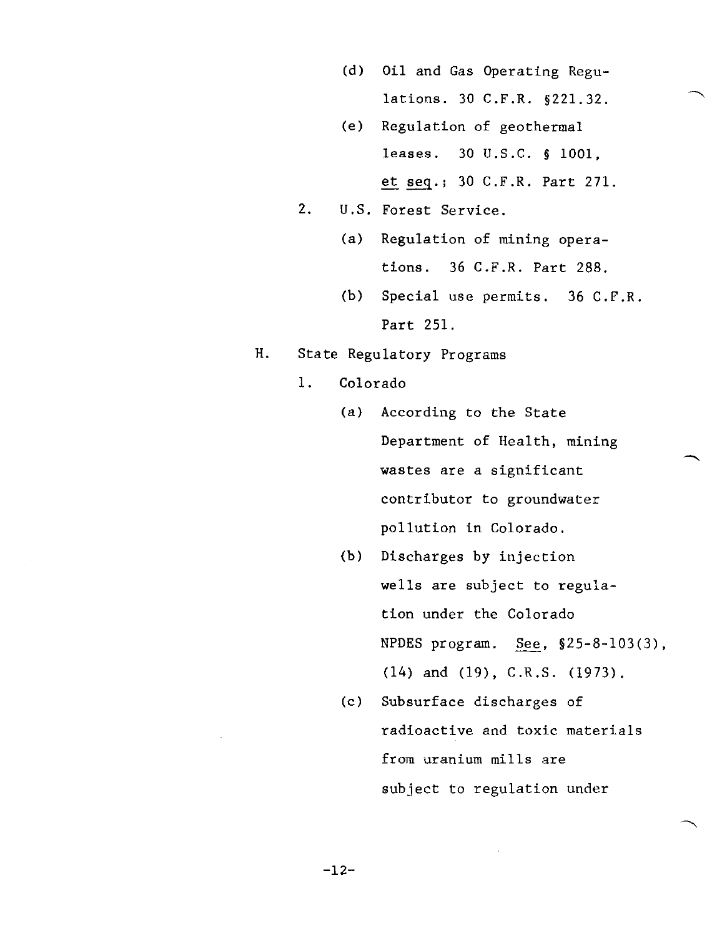- (d) Oil and Gas Operating Regulations. 30 C.F.R. §221.32.
- (e) Regulation of geothermal leases. 30 U.S.C. § 1001, et seq.; 30 C.F.R. Part 271.
- 2. U.S. Forest Service.
	- (a) Regulation of mining operations. 36 C.F.R. Part 288.
	- (b) Special use permits. 36 C.F.R. Part 251.
- H. State Regulatory Programs
	- 1. Colorado
		- (a) According to the State Department of Health, mining wastes are a significant contributor to groundwater pollution in Colorado.
		- (b) Discharges by injection wells are subject to regulation under the Colorado NPDES program. See, §25-8-103(3), (14) and (19), C.R.S. (1973).
		- (c) Subsurface discharges of radioactive and toxic materials from uranium mills are subject to regulation under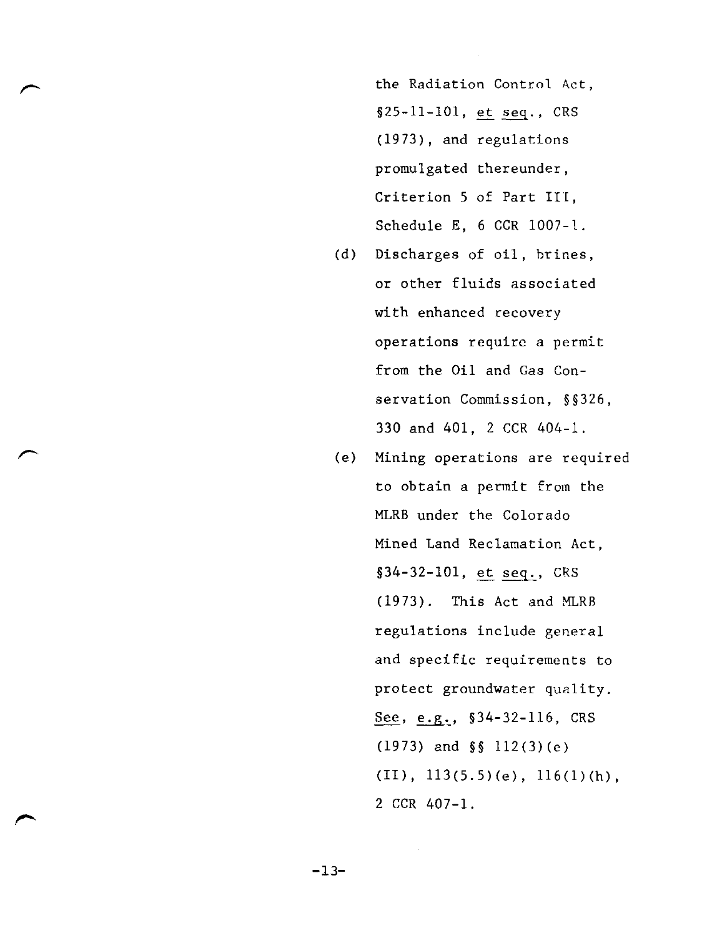the Radiation Control Act, §25-11-101, et seq., CRS (1973), and regulations promulgated thereunder, Criterion 5 of Part III, Schedule E, 6 CCR 1007-1.

- (d) Discharges of oil, brines, or other fluids associated with enhanced recovery operations require a permit from the Oil and Gas Conservation Commission, §§326, 330 and 401, 2 CCR 404-1.
- (e) Mining operations are required to obtain a permit from the MLRB under the Colorado Mined Land Reclamation Act, §34-32-101, et seq., CRS (1973). This Act and MLRB regulations include general and specific requirements to protect groundwater quality. See, e.g., §34-32-116, CRS (1973) and §§ 112(3)(e)  $(II)$ ,  $113(5.5)(e)$ ,  $116(1)(h)$ , 2 CCR 407-1.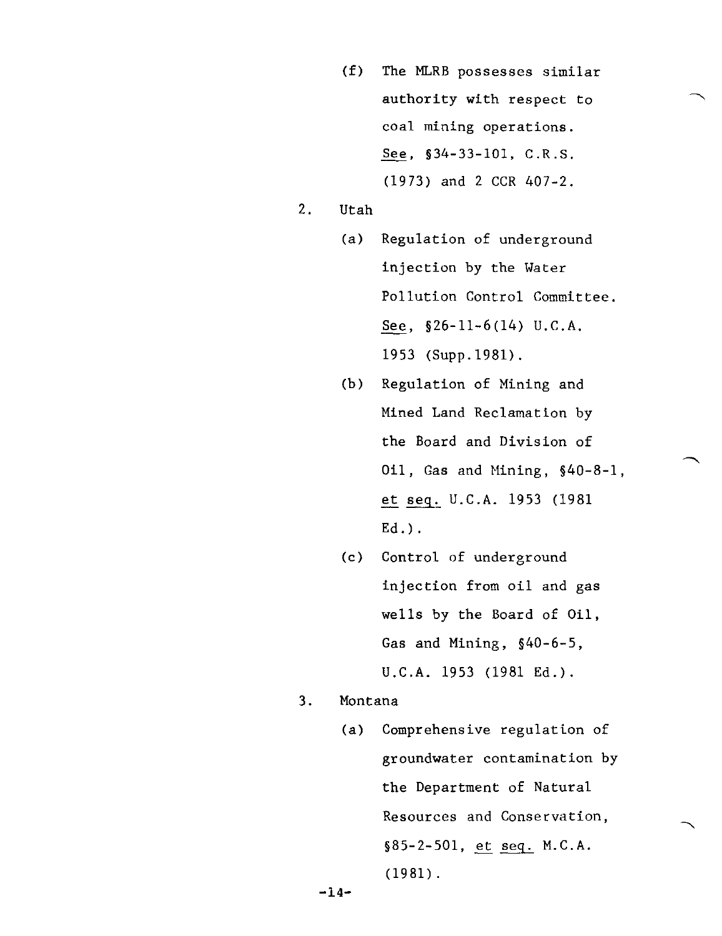- (f) The MLRB possesses similar authority with respect to coal mining operations. See, §34-33-101, C.R.S. (1973) and 2 CCR 407-2.
- 2. Utah
	- (a) Regulation of underground injection by the Water Pollution Control Committee. See, §26-11-6(14) U.C.A. 1953 (Supp.1981).
	- (b) Regulation of Mining and Mined Land Reclamation by the Board and Division of Oil, Gas and Mining, §40-8-1, et seq.\_ U.C.A. 1953 (1981 Ed.).
	- (c) Control of underground injection from oil and gas wells by the Board of Oil, Gas and Mining, §40-6-5, U.C.A. 1953 (1981 Ed.).
- 3. Montana
	- (a) Comprehensive regulation of groundwater contamination by the Department of Natural Resources and Conservation, §85-2-501, et seq. M.C.A. (1981).

 $-14-$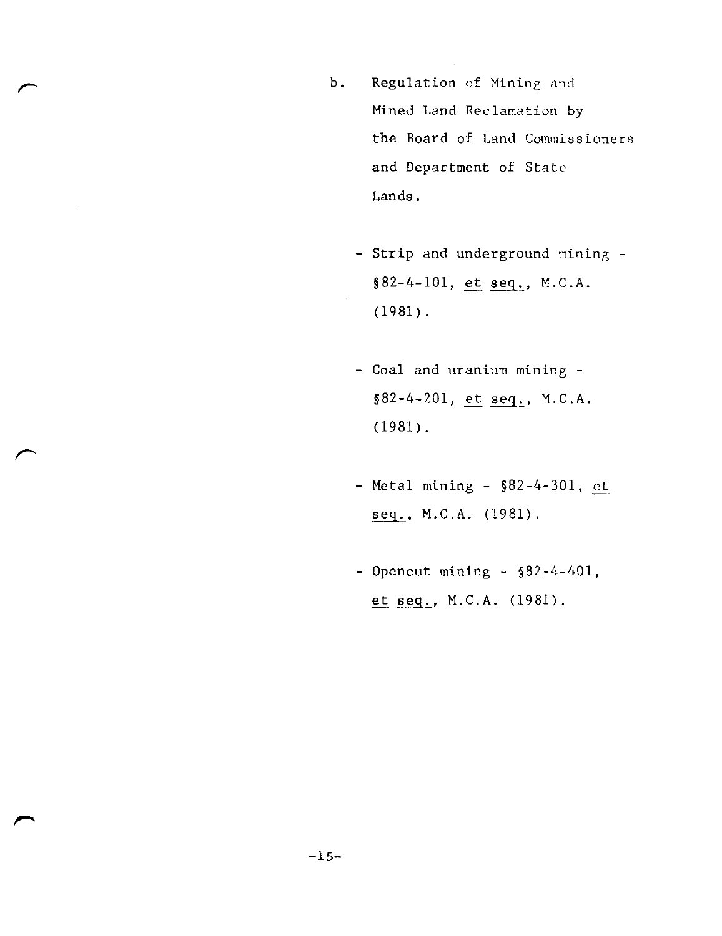- b. Regulation of Mining and Mined Land Reclamation by the Board of Land Commissioners and Department of State Lands.
	- Strip and underground mining §82-4-101, et seq., M.C.A. (1981).
	- Coal and uranium mining §82-4-201, et seq., M.C.A. (1981).
	- Metal mining  $$82-4-301$ , et seq., M.C.A. (1981).
	- Opencut mining §82-4-401, et seq., M.C.A. (1981).